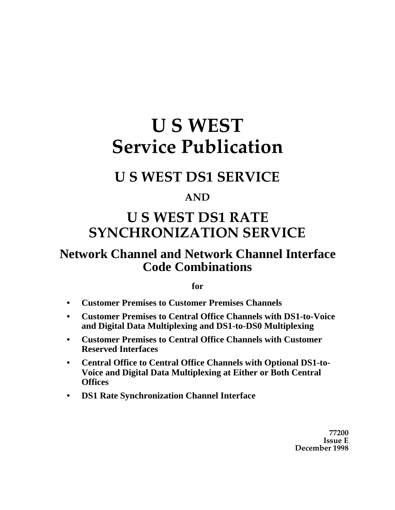# **U S WEST Service Publication**

# **U S WEST DS1 SERVICE**

# **AND**

# **U S WEST DS1 RATE SYNCHRONIZATION SERVICE**

# **Network Channel and Network Channel Interface Code Combinations**

#### **for**

- **• Customer Premises to Customer Premises Channels**
- **• Customer Premises to Central Office Channels with DS1-to-Voice and Digital Data Multiplexing and DS1-to-DS0 Multiplexing**
- **• Customer Premises to Central Office Channels with Customer Reserved Interfaces**
- **• Central Office to Central Office Channels with Optional DS1-to-Voice and Digital Data Multiplexing at Either or Both Central Offices**
- **• DS1 Rate Synchronization Channel Interface**

**77200 Issue E December 1998**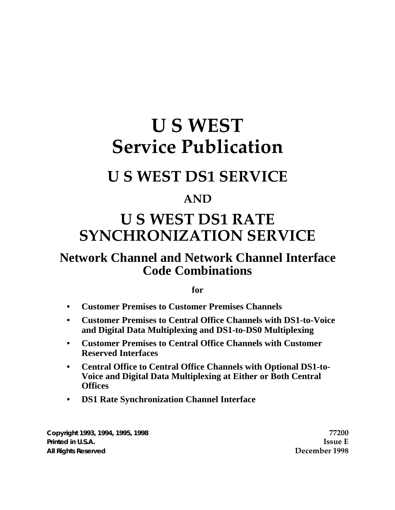# **U S WEST Service Publication**

# **U S WEST DS1 SERVICE**

# **AND**

# **U S WEST DS1 RATE SYNCHRONIZATION SERVICE**

# **Network Channel and Network Channel Interface Code Combinations**

**for**

- **• Customer Premises to Customer Premises Channels**
- **• Customer Premises to Central Office Channels with DS1-to-Voice and Digital Data Multiplexing and DS1-to-DS0 Multiplexing**
- **• Customer Premises to Central Office Channels with Customer Reserved Interfaces**
- **• Central Office to Central Office Channels with Optional DS1-to-Voice and Digital Data Multiplexing at Either or Both Central Offices**
- **• DS1 Rate Synchronization Channel Interface**

**Copyright 1993, 1994, 1995, 1998 77200 Printed in U.S.A. Issue E All Rights Reserved December 1998**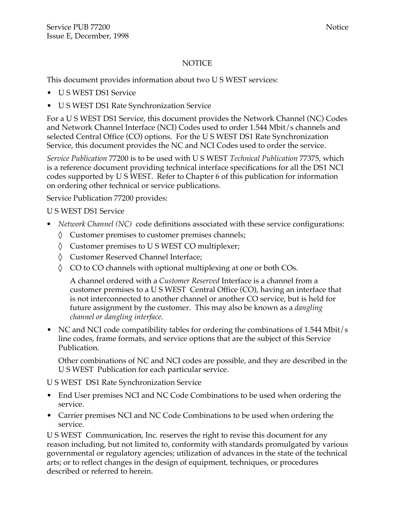#### NOTICE

This document provides information about two U S WEST services:

- U S WEST DS1 Service
- U S WEST DS1 Rate Synchronization Service

For a U S WEST DS1 Service, this document provides the Network Channel (NC) Codes and Network Channel Interface (NCI) Codes used to order 1.544 Mbit/s channels and selected Central Office (CO) options. For the U S WEST DS1 Rate Synchronization Service, this document provides the NC and NCI Codes used to order the service.

*Service Publication* 77200 is to be used with U S WEST *Technical Publication* 77375, which is a reference document providing technical interface specifications for all the DS1 NCI codes supported by U S WEST. Refer to Chapter 6 of this publication for information on ordering other technical or service publications.

Service Publication 77200 provides:

U S WEST DS1 Service

• *Network Channel (NC)* code definitions associated with these service configurations:

Customer premises to customer premises channels;

Customer premises to U S WEST CO multiplexer;

Customer Reserved Channel Interface;

CO to CO channels with optional multiplexing at one or both COs.

A channel ordered with a *Customer Reserved* Interface is a channel from a customer premises to a U S WEST Central Office (CO), having an interface that is not interconnected to another channel or another CO service, but is held for future assignment by the customer. This may also be known as a *dangling channel or dangling interface*.

• NC and NCI code compatibility tables for ordering the combinations of 1.544 Mbit/s line codes, frame formats, and service options that are the subject of this Service Publication.

Other combinations of NC and NCI codes are possible, and they are described in the U S WEST Publication for each particular service.

U S WEST DS1 Rate Synchronization Service

- End User premises NCI and NC Code Combinations to be used when ordering the service.
- Carrier premises NCI and NC Code Combinations to be used when ordering the service.

U S WEST Communication, Inc. reserves the right to revise this document for any reason including, but not limited to, conformity with standards promulgated by various governmental or regulatory agencies; utilization of advances in the state of the technical arts; or to reflect changes in the design of equipment, techniques, or procedures described or referred to herein.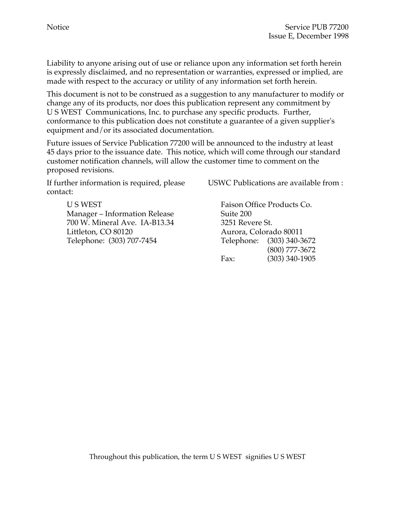Liability to anyone arising out of use or reliance upon any information set forth herein is expressly disclaimed, and no representation or warranties, expressed or implied, are made with respect to the accuracy or utility of any information set forth herein.

This document is not to be construed as a suggestion to any manufacturer to modify or change any of its products, nor does this publication represent any commitment by U S WEST Communications, Inc. to purchase any specific products. Further, conformance to this publication does not constitute a guarantee of a given supplier's equipment and/or its associated documentation.

Future issues of Service Publication 77200 will be announced to the industry at least 45 days prior to the issuance date. This notice, which will come through our standard customer notification channels, will allow the customer time to comment on the proposed revisions.

If further information is required, please contact:

> U S WEST Faison Office Products Co. Manager – Information Release Suite 200 700 W. Mineral Ave. IA-B13.34 3251 Revere St. Littleton, CO 80120 Aurora, Colorado 80011 Telephone: (303) 707-7454 Telephone: (303) 340-3672

USWC Publications are available from :

(800) 777-3672 Fax: (303) 340-1905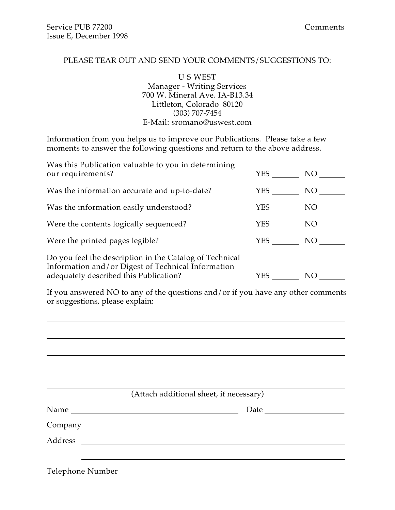#### PLEASE TEAR OUT AND SEND YOUR COMMENTS/SUGGESTIONS TO:

U S WEST Manager - Writing Services 700 W. Mineral Ave. IA-B13.34 Littleton, Colorado 80120 (303) 707-7454 E-Mail: sromano@uswest.com

Information from you helps us to improve our Publications. Please take a few moments to answer the following questions and return to the above address.

| Was this Publication valuable to you in determining<br>our requirements?                                                                                | YES | NO. |
|---------------------------------------------------------------------------------------------------------------------------------------------------------|-----|-----|
| Was the information accurate and up-to-date?                                                                                                            | YES | NO. |
| Was the information easily understood?                                                                                                                  | YES | NO. |
| Were the contents logically sequenced?                                                                                                                  | YES | NO  |
| Were the printed pages legible?                                                                                                                         | YES | NO. |
| Do you feel the description in the Catalog of Technical<br>Information and/or Digest of Technical Information<br>adequately described this Publication? | YES | NΟ  |

If you answered NO to any of the questions and/or if you have any other comments or suggestions, please explain:

| (Attach additional sheet, if necessary) |
|-----------------------------------------|
|                                         |
|                                         |
|                                         |
|                                         |
|                                         |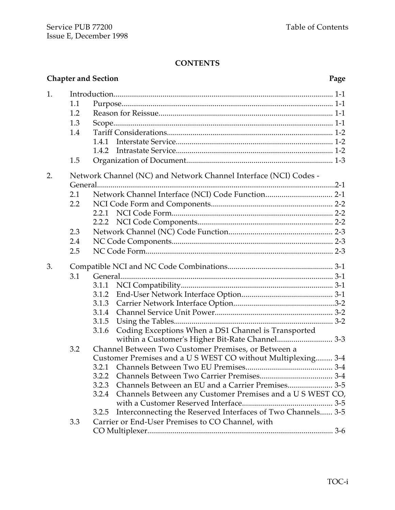#### **CONTENTS**

|    |         | <b>Chapter and Section</b>                                                                                      | Page |  |  |
|----|---------|-----------------------------------------------------------------------------------------------------------------|------|--|--|
| 1. |         |                                                                                                                 |      |  |  |
|    | 1.1     |                                                                                                                 |      |  |  |
|    | 1.2     |                                                                                                                 |      |  |  |
|    | 1.3     |                                                                                                                 |      |  |  |
|    | 1.4     |                                                                                                                 |      |  |  |
|    |         | 1.4.1                                                                                                           |      |  |  |
|    |         | 1.4.2                                                                                                           |      |  |  |
|    | 1.5     |                                                                                                                 |      |  |  |
| 2. |         | Network Channel (NC) and Network Channel Interface (NCI) Codes -                                                |      |  |  |
|    |         |                                                                                                                 |      |  |  |
|    | 2.1     |                                                                                                                 |      |  |  |
|    | $2.2\,$ |                                                                                                                 |      |  |  |
|    |         |                                                                                                                 |      |  |  |
|    |         |                                                                                                                 |      |  |  |
|    | 2.3     |                                                                                                                 |      |  |  |
|    | 2.4     |                                                                                                                 |      |  |  |
|    | 2.5     |                                                                                                                 |      |  |  |
| 3. |         |                                                                                                                 |      |  |  |
|    | 3.1     |                                                                                                                 |      |  |  |
|    |         | 3.1.1                                                                                                           |      |  |  |
|    |         | 3.1.2                                                                                                           |      |  |  |
|    |         | 3.1.3                                                                                                           |      |  |  |
|    |         | 3.1.4                                                                                                           |      |  |  |
|    |         | 3.1.5                                                                                                           |      |  |  |
|    |         | Coding Exceptions When a DS1 Channel is Transported<br>3.1.6<br>within a Customer's Higher Bit-Rate Channel 3-3 |      |  |  |
|    | 3.2     | Channel Between Two Customer Premises, or Between a                                                             |      |  |  |
|    |         | Customer Premises and a U S WEST CO without Multiplexing 3-4                                                    |      |  |  |
|    |         | 3.2.1                                                                                                           |      |  |  |
|    |         | 3.2.2                                                                                                           |      |  |  |
|    |         | 3.2.3 Channels Between an EU and a Carrier Premises 3-5                                                         |      |  |  |
|    |         | Channels Between any Customer Premises and a U S WEST CO,<br>3.2.4                                              |      |  |  |
|    |         |                                                                                                                 |      |  |  |
|    |         | Interconnecting the Reserved Interfaces of Two Channels 3-5<br>3.2.5                                            |      |  |  |
|    | 3.3     | Carrier or End-User Premises to CO Channel, with                                                                |      |  |  |
|    |         |                                                                                                                 |      |  |  |
|    |         |                                                                                                                 |      |  |  |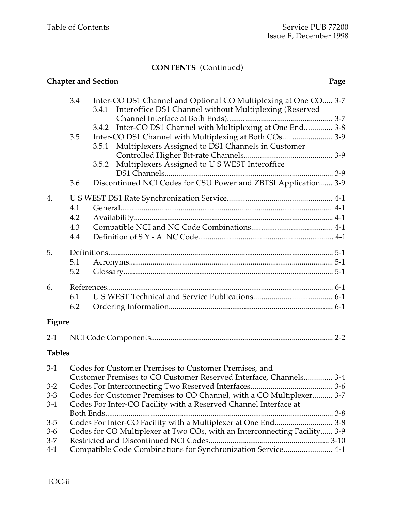### **CONTENTS** (Continued)

|                  |                          | <b>Chapter and Section</b><br>Page                                                                                                                                                                |
|------------------|--------------------------|---------------------------------------------------------------------------------------------------------------------------------------------------------------------------------------------------|
|                  | 3.4                      | Inter-CO DS1 Channel and Optional CO Multiplexing at One CO 3-7<br>Interoffice DS1 Channel without Multiplexing (Reserved<br>3.4.1<br>3.4.2 Inter-CO DS1 Channel with Multiplexing at One End 3-8 |
|                  | 3.5                      | Inter-CO DS1 Channel with Multiplexing at Both COs 3-9<br>Multiplexers Assigned to DS1 Channels in Customer<br>3.5.1                                                                              |
|                  |                          | Multiplexers Assigned to U S WEST Interoffice<br>3.5.2                                                                                                                                            |
|                  | 3.6                      | Discontinued NCI Codes for CSU Power and ZBTSI Application 3-9                                                                                                                                    |
| 4.               | 4.1<br>4.2<br>4.3<br>4.4 |                                                                                                                                                                                                   |
| 5.               | 5.1<br>5.2               |                                                                                                                                                                                                   |
| 6.               | 6.1<br>6.2               |                                                                                                                                                                                                   |
| Figure           |                          |                                                                                                                                                                                                   |
| $2-1$            |                          |                                                                                                                                                                                                   |
| <b>Tables</b>    |                          |                                                                                                                                                                                                   |
|                  |                          | 3-1 Codes for Customer Premises to Customer Premises, and<br>Customer Premises to CO Customer Reserved Interface, Channels 3-4                                                                    |
| $3 - 2$          |                          |                                                                                                                                                                                                   |
| $3 - 3$<br>$3-4$ |                          | Codes for Customer Premises to CO Channel, with a CO Multiplexer 3-7<br>Codes For Inter-CO Facility with a Reserved Channel Interface at                                                          |
|                  |                          |                                                                                                                                                                                                   |
| $3-5$            |                          | Codes For Inter-CO Facility with a Multiplexer at One End 3-8                                                                                                                                     |
| $3-6$            |                          | Codes for CO Multiplexer at Two COs, with an Interconnecting Facility 3-9                                                                                                                         |
| $3 - 7$          |                          |                                                                                                                                                                                                   |
| $4-1$            |                          | Compatible Code Combinations for Synchronization Service 4-1                                                                                                                                      |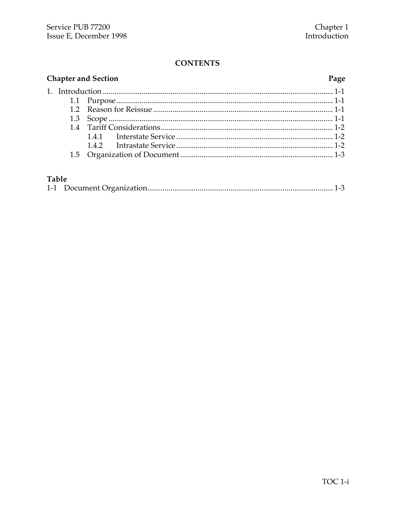#### **CONTENTS**

### **Chapter and Section**

# Page

### Table

|--|--|--|--|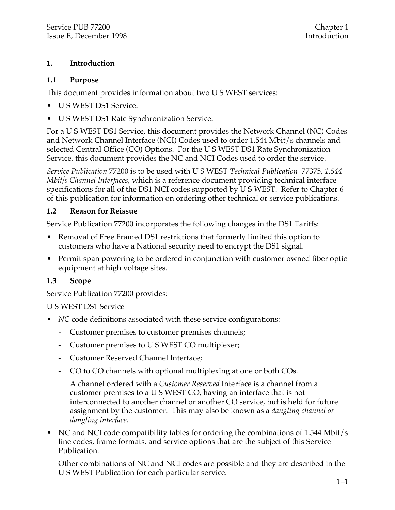#### **1. Introduction**

#### **1.1 Purpose**

This document provides information about two U S WEST services:

- U S WEST DS1 Service.
- U S WEST DS1 Rate Synchronization Service.

For a U S WEST DS1 Service, this document provides the Network Channel (NC) Codes and Network Channel Interface (NCI) Codes used to order 1.544 Mbit/s channels and selected Central Office (CO) Options. For the U S WEST DS1 Rate Synchronization Service, this document provides the NC and NCI Codes used to order the service.

*Service Publication* 77200 is to be used with U S WEST *Technical Publication* 77375, *1.544 Mbit/s Channel Interfaces*, which is a reference document providing technical interface specifications for all of the DS1 NCI codes supported by U S WEST. Refer to Chapter 6 of this publication for information on ordering other technical or service publications.

#### **1.2 Reason for Reissue**

Service Publication 77200 incorporates the following changes in the DS1 Tariffs:

- Removal of Free Framed DS1 restrictions that formerly limited this option to customers who have a National security need to encrypt the DS1 signal.
- Permit span powering to be ordered in conjunction with customer owned fiber optic equipment at high voltage sites.

#### **1.3 Scope**

Service Publication 77200 provides:

#### U S WEST DS1 Service

- *NC* code definitions associated with these service configurations:
	- Customer premises to customer premises channels;
	- Customer premises to U S WEST CO multiplexer;
	- Customer Reserved Channel Interface;
	- CO to CO channels with optional multiplexing at one or both COs.

A channel ordered with a *Customer Reserved* Interface is a channel from a customer premises to a U S WEST CO, having an interface that is not interconnected to another channel or another CO service, but is held for future assignment by the customer. This may also be known as a *dangling channel or dangling interface*.

• NC and NCI code compatibility tables for ordering the combinations of 1.544 Mbit/s line codes, frame formats, and service options that are the subject of this Service Publication.

Other combinations of NC and NCI codes are possible and they are described in the U S WEST Publication for each particular service.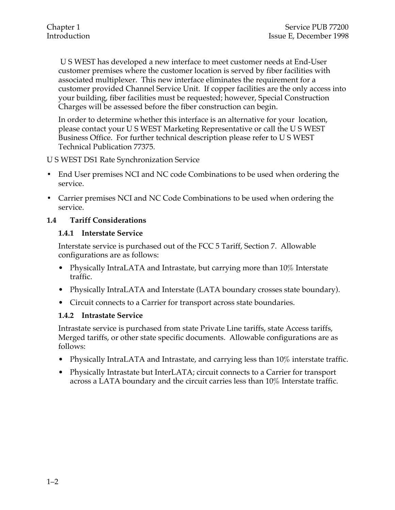U S WEST has developed a new interface to meet customer needs at End-User customer premises where the customer location is served by fiber facilities with associated multiplexer. This new interface eliminates the requirement for a customer provided Channel Service Unit. If copper facilities are the only access into your building, fiber facilities must be requested; however, Special Construction Charges will be assessed before the fiber construction can begin.

In order to determine whether this interface is an alternative for your location, please contact your U S WEST Marketing Representative or call the U S WEST Business Office. For further technical description please refer to U S WEST Technical Publication 77375.

U S WEST DS1 Rate Synchronization Service

- End User premises NCI and NC code Combinations to be used when ordering the service.
- Carrier premises NCI and NC Code Combinations to be used when ordering the service.

#### **1.4 Tariff Considerations**

#### **1.4.1 Interstate Service**

Interstate service is purchased out of the FCC 5 Tariff, Section 7. Allowable configurations are as follows:

- Physically IntraLATA and Intrastate, but carrying more than 10% Interstate traffic.
- Physically IntraLATA and Interstate (LATA boundary crosses state boundary).
- Circuit connects to a Carrier for transport across state boundaries.

#### **1.4.2 Intrastate Service**

Intrastate service is purchased from state Private Line tariffs, state Access tariffs, Merged tariffs, or other state specific documents. Allowable configurations are as follows:

- Physically IntraLATA and Intrastate, and carrying less than 10% interstate traffic.
- Physically Intrastate but InterLATA; circuit connects to a Carrier for transport across a LATA boundary and the circuit carries less than 10% Interstate traffic.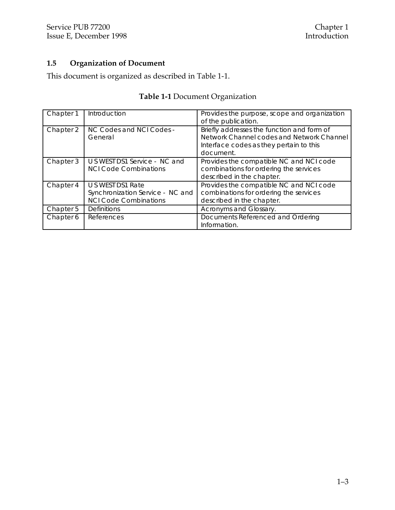#### **1.5 Organization of Document**

This document is organized as described in Table 1-1.

|  |                        | <b>Table 1-1 Document Organization</b>       |
|--|------------------------|----------------------------------------------|
|  | Chapter 1 Introduction | Provides the purpose, scope and organization |

| Chapter I | <b>Introduction</b>                                                                   | Provides the purpose, scope and organization<br>of the publication.                                                                             |
|-----------|---------------------------------------------------------------------------------------|-------------------------------------------------------------------------------------------------------------------------------------------------|
| Chapter 2 | NC Codes and NCI Codes -<br>General                                                   | Briefly addresses the function and form of<br>Network Channel codes and Network Channel<br>Interface codes as they pertain to this<br>document. |
| Chapter 3 | U S WEST DS1 Service - NC and<br><b>NCI Code Combinations</b>                         | Provides the compatible NC and NCI code<br>combinations for ordering the services<br>described in the chapter.                                  |
| Chapter 4 | U S WEST DS1 Rate<br>Synchronization Service - NC and<br><b>NCI Code Combinations</b> | Provides the compatible NC and NCI code<br>combinations for ordering the services<br>described in the chapter.                                  |
| Chapter 5 | <b>Definitions</b>                                                                    | Acronyms and Glossary.                                                                                                                          |
| Chapter 6 | References                                                                            | Documents Referenced and Ordering<br>Information.                                                                                               |

#### 1–3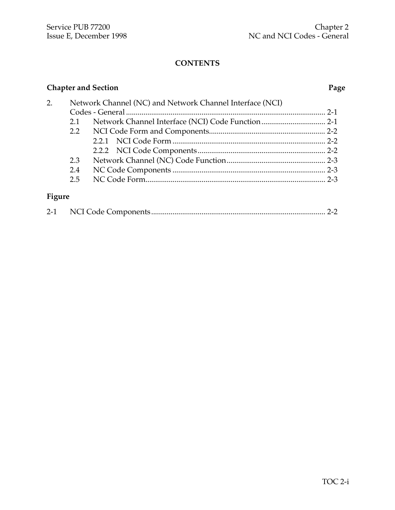### **CONTENTS**

### **Chapter and Section Page**

| 2.     |     | Network Channel (NC) and Network Channel Interface (NCI) |  |
|--------|-----|----------------------------------------------------------|--|
|        |     |                                                          |  |
|        | 2.1 |                                                          |  |
|        |     |                                                          |  |
|        |     |                                                          |  |
|        |     |                                                          |  |
|        | 2.3 |                                                          |  |
|        | 2.4 |                                                          |  |
|        | 2.5 |                                                          |  |
|        |     |                                                          |  |
| Figure |     |                                                          |  |

| $2 - 1$ |  |  |  |
|---------|--|--|--|
|---------|--|--|--|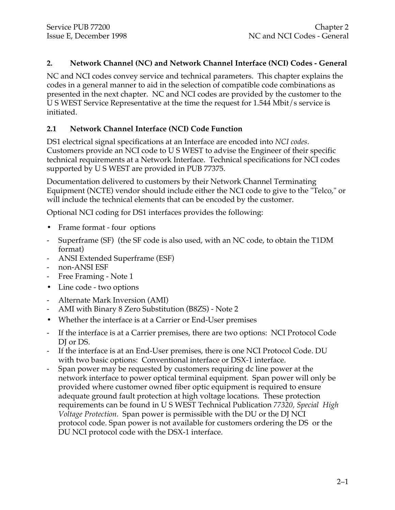#### **2. Network Channel (NC) and Network Channel Interface (NCI) Codes - General**

NC and NCI codes convey service and technical parameters. This chapter explains the codes in a general manner to aid in the selection of compatible code combinations as presented in the next chapter. NC and NCI codes are provided by the customer to the U S WEST Service Representative at the time the request for 1.544 Mbit/s service is initiated.

#### **2.1 Network Channel Interface (NCI) Code Function**

DS1 electrical signal specifications at an Interface are encoded into *NCI codes*. Customers provide an NCI code to U S WEST to advise the Engineer of their specific technical requirements at a Network Interface. Technical specifications for NCI codes supported by U S WEST are provided in PUB 77375.

Documentation delivered to customers by their Network Channel Terminating Equipment (NCTE) vendor should include either the NCI code to give to the "Telco," or will include the technical elements that can be encoded by the customer.

Optional NCI coding for DS1 interfaces provides the following:

- Frame format four options
- Superframe (SF) (the SF code is also used, with an NC code, to obtain the T1DM format)
- ANSI Extended Superframe (ESF)
- non-ANSI ESF
- Free Framing Note 1
- Line code two options
- Alternate Mark Inversion (AMI)
- AMI with Binary 8 Zero Substitution (B8ZS) Note 2
- Whether the interface is at a Carrier or End-User premises
- If the interface is at a Carrier premises, there are two options: NCI Protocol Code DI or DS.
- If the interface is at an End-User premises, there is one NCI Protocol Code. DU with two basic options: Conventional interface or DSX-1 interface.
- Span power may be requested by customers requiring dc line power at the network interface to power optical terminal equipment. Span power will only be provided where customer owned fiber optic equipment is required to ensure adequate ground fault protection at high voltage locations. These protection requirements can be found in U S WEST Technical Publication *77320, Special High Voltage Protection.* Span power is permissible with the DU or the DJ NCI protocol code. Span power is not available for customers ordering the DS or the DU NCI protocol code with the DSX-1 interface.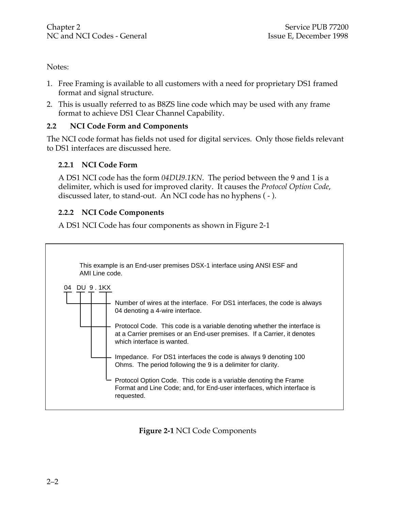Notes:

- 1. Free Framing is available to all customers with a need for proprietary DS1 framed format and signal structure.
- 2. This is usually referred to as B8ZS line code which may be used with any frame format to achieve DS1 Clear Channel Capability.

#### **2.2 NCI Code Form and Components**

The NCI code format has fields not used for digital services. Only those fields relevant to DS1 interfaces are discussed here.

#### **2.2.1 NCI Code Form**

A DS1 NCI code has the form *04DU9.1KN*. The period between the 9 and 1 is a delimiter, which is used for improved clarity. It causes the *Protocol Option Code*, discussed later, to stand-out. An NCI code has no hyphens ( - ).

#### **2.2.2 NCI Code Components**

A DS1 NCI Code has four components as shown in Figure 2-1



**Figure 2-1** NCI Code Components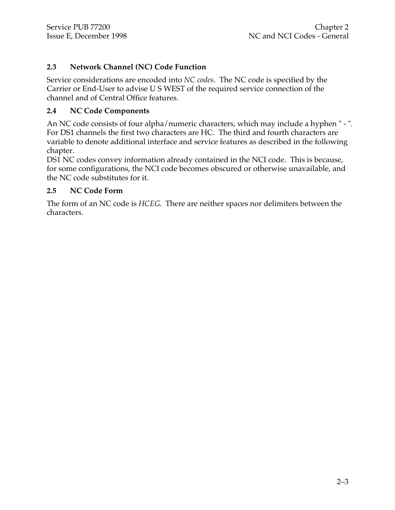#### **2.3 Network Channel (NC) Code Function**

Service considerations are encoded into *NC codes*. The NC code is specified by the Carrier or End-User to advise U S WEST of the required service connection of the channel and of Central Office features.

#### **2.4 NC Code Components**

An NC code consists of four alpha/numeric characters, which may include a hyphen " - ". For DS1 channels the first two characters are HC. The third and fourth characters are variable to denote additional interface and service features as described in the following chapter.

DS1 NC codes convey information already contained in the NCI code. This is because, for some configurations, the NCI code becomes obscured or otherwise unavailable, and the NC code substitutes for it.

#### **2.5 NC Code Form**

The form of an NC code is *HCEG*. There are neither spaces nor delimiters between the characters.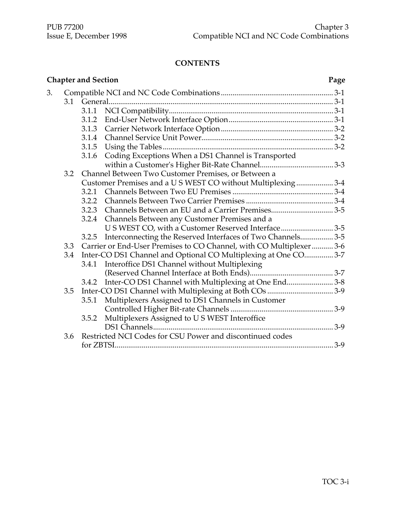#### **CONTENTS**

|    |     | <b>Chapter and Section</b> |                                                                     | Page  |
|----|-----|----------------------------|---------------------------------------------------------------------|-------|
| 3. |     |                            |                                                                     |       |
|    | 3.1 |                            |                                                                     |       |
|    |     |                            |                                                                     |       |
|    |     | 3.1.2                      |                                                                     |       |
|    |     | 3.1.3                      |                                                                     |       |
|    |     | 3.1.4                      |                                                                     |       |
|    |     | 3.1.5                      |                                                                     |       |
|    |     | 3.1.6                      | Coding Exceptions When a DS1 Channel is Transported                 |       |
|    |     |                            |                                                                     |       |
|    | 3.2 |                            | Channel Between Two Customer Premises, or Between a                 |       |
|    |     |                            | Customer Premises and a U S WEST CO without Multiplexing  3-4       |       |
|    |     | 3.2.1                      |                                                                     |       |
|    |     | 3.2.2                      |                                                                     |       |
|    |     | 3.2.3                      | Channels Between an EU and a Carrier Premises3-5                    |       |
|    |     | 3.2.4                      | Channels Between any Customer Premises and a                        |       |
|    |     |                            | U S WEST CO, with a Customer Reserved Interface3-5                  |       |
|    |     | 3.2.5                      | Interconnecting the Reserved Interfaces of Two Channels 3-5         |       |
|    | 3.3 |                            | Carrier or End-User Premises to CO Channel, with CO Multiplexer 3-6 |       |
|    | 3.4 |                            | Inter-CO DS1 Channel and Optional CO Multiplexing at One CO3-7      |       |
|    |     | 3.4.1                      | Interoffice DS1 Channel without Multiplexing                        |       |
|    |     |                            |                                                                     |       |
|    |     | 3.4.2                      | Inter-CO DS1 Channel with Multiplexing at One End3-8                |       |
|    | 3.5 |                            |                                                                     |       |
|    |     | 3.5.1                      | Multiplexers Assigned to DS1 Channels in Customer                   |       |
|    |     |                            |                                                                     |       |
|    |     | 3.5.2                      | Multiplexers Assigned to U S WEST Interoffice                       |       |
|    |     |                            |                                                                     |       |
|    | 3.6 |                            | Restricted NCI Codes for CSU Power and discontinued codes           |       |
|    |     |                            |                                                                     | $3-9$ |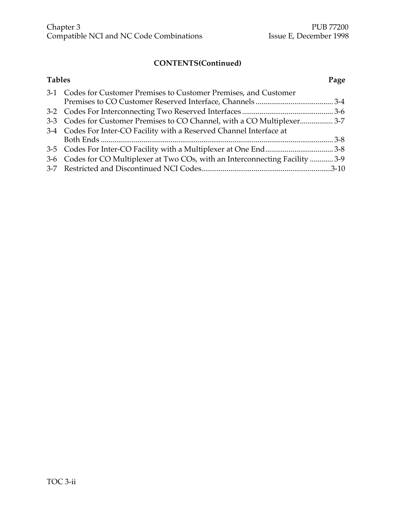### **CONTENTS(Continued)**

| <b>Tables</b> |                                                                               | Page |
|---------------|-------------------------------------------------------------------------------|------|
|               | 3-1 Codes for Customer Premises to Customer Premises, and Customer            |      |
|               |                                                                               |      |
|               |                                                                               |      |
|               | 3-3 Codes for Customer Premises to CO Channel, with a CO Multiplexer 3-7      |      |
|               | 3-4 Codes For Inter-CO Facility with a Reserved Channel Interface at          |      |
|               |                                                                               |      |
|               |                                                                               |      |
|               | 3-6 Codes for CO Multiplexer at Two COs, with an Interconnecting Facility 3-9 |      |
|               |                                                                               |      |
|               |                                                                               |      |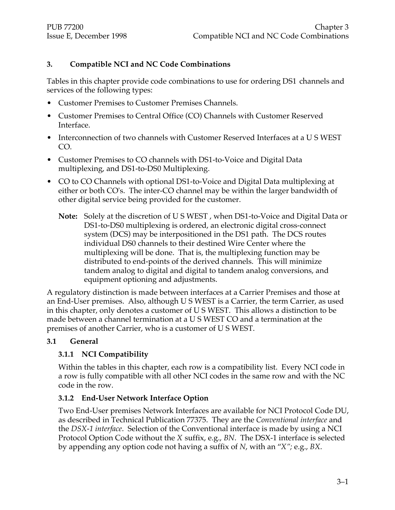#### **3. Compatible NCI and NC Code Combinations**

Tables in this chapter provide code combinations to use for ordering DS1 channels and services of the following types:

- Customer Premises to Customer Premises Channels.
- Customer Premises to Central Office (CO) Channels with Customer Reserved Interface.
- Interconnection of two channels with Customer Reserved Interfaces at a U S WEST CO.
- Customer Premises to CO channels with DS1-to-Voice and Digital Data multiplexing, and DS1-to-DS0 Multiplexing.
- CO to CO Channels with optional DS1-to-Voice and Digital Data multiplexing at either or both CO's. The inter-CO channel may be within the larger bandwidth of other digital service being provided for the customer.
	- **Note:** Solely at the discretion of U S WEST , when DS1-to-Voice and Digital Data or DS1-to-DS0 multiplexing is ordered, an electronic digital cross-connect system (DCS) may be interpositioned in the DS1 path. The DCS routes individual DS0 channels to their destined Wire Center where the multiplexing will be done. That is, the multiplexing function may be distributed to end-points of the derived channels. This will minimize tandem analog to digital and digital to tandem analog conversions, and equipment optioning and adjustments.

A regulatory distinction is made between interfaces at a Carrier Premises and those at an End-User premises. Also, although U S WEST is a Carrier, the term Carrier, as used in this chapter, only denotes a customer of U S WEST. This allows a distinction to be made between a channel termination at a U S WEST CO and a termination at the premises of another Carrier, who is a customer of U S WEST.

#### **3.1 General**

#### **3.1.1 NCI Compatibility**

Within the tables in this chapter, each row is a compatibility list. Every NCI code in a row is fully compatible with all other NCI codes in the same row and with the NC code in the row.

#### **3.1.2 End-User Network Interface Option**

Two End-User premises Network Interfaces are available for NCI Protocol Code DU, as described in Technical Publication 77375. They are the *Conventional interface* and the *DSX-1 interface*. Selection of the Conventional interface is made by using a NCI Protocol Option Code without the *X* suffix, e.g., *BN*. The DSX-1 interface is selected by appending any option code not having a suffix of *N*, with an "*X";* e.g., *BX*.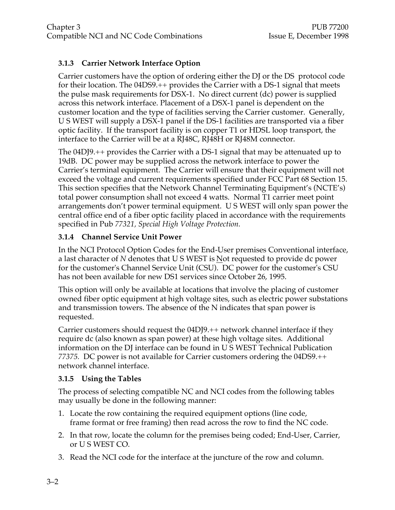#### **3.1.3 Carrier Network Interface Option**

Carrier customers have the option of ordering either the DJ or the DS protocol code for their location. The 04DS9.++ provides the Carrier with a DS-1 signal that meets the pulse mask requirements for DSX-1. No direct current (dc) power is supplied across this network interface. Placement of a DSX-1 panel is dependent on the customer location and the type of facilities serving the Carrier customer. Generally, U S WEST will supply a DSX-1 panel if the DS-1 facilities are transported via a fiber optic facility. If the transport facility is on copper T1 or HDSL loop transport, the interface to the Carrier will be at a RJ48C, RJ48H or RJ48M connector.

The 04DJ9.++ provides the Carrier with a DS-1 signal that may be attenuated up to 19dB. DC power may be supplied across the network interface to power the Carrier's terminal equipment. The Carrier will ensure that their equipment will not exceed the voltage and current requirements specified under FCC Part 68 Section 15. This section specifies that the Network Channel Terminating Equipment's (NCTE's) total power consumption shall not exceed 4 watts. Normal T1 carrier meet point arrangements don't power terminal equipment. U S WEST will only span power the central office end of a fiber optic facility placed in accordance with the requirements specified in Pub *77321, Special High Voltage Protection.*

#### **3.1.4 Channel Service Unit Power**

In the NCI Protocol Option Codes for the End-User premises Conventional interface, a last character of N denotes that U S WEST is Not requested to provide dc power for the customer's Channel Service Unit (CSU). DC power for the customer's CSU has not been available for new DS1 services since October 26, 1995.

This option will only be available at locations that involve the placing of customer owned fiber optic equipment at high voltage sites, such as electric power substations and transmission towers. The absence of the N indicates that span power is requested.

Carrier customers should request the 04DJ9.++ network channel interface if they require dc (also known as span power) at these high voltage sites. Additional information on the DJ interface can be found in U S WEST Technical Publication *77375.* DC power is not available for Carrier customers ordering the 04DS9.++ network channel interface.

#### **3.1.5 Using the Tables**

The process of selecting compatible NC and NCI codes from the following tables may usually be done in the following manner:

- 1. Locate the row containing the required equipment options (line code, frame format or free framing) then read across the row to find the NC code.
- 2. In that row, locate the column for the premises being coded; End-User, Carrier, or U S WEST CO.
- 3. Read the NCI code for the interface at the juncture of the row and column.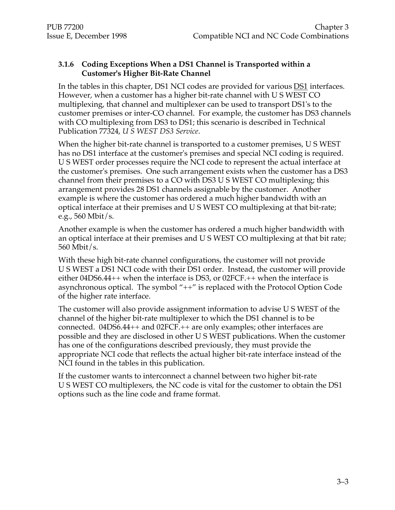#### **3.1.6 Coding Exceptions When a DS1 Channel is Transported within a Customer's Higher Bit-Rate Channel**

In the tables in this chapter, DS1 NCI codes are provided for various DS1 interfaces. However, when a customer has a higher bit-rate channel with U S WEST CO multiplexing, that channel and multiplexer can be used to transport DS1's to the customer premises or inter-CO channel. For example, the customer has DS3 channels with CO multiplexing from DS3 to DS1; this scenario is described in Technical Publication 77324, *U S WEST DS3 Service*.

When the higher bit-rate channel is transported to a customer premises, U S WEST has no DS1 interface at the customer's premises and special NCI coding is required. U S WEST order processes require the NCI code to represent the actual interface at the customer's premises. One such arrangement exists when the customer has a DS3 channel from their premises to a CO with DS3 U S WEST CO multiplexing; this arrangement provides 28 DS1 channels assignable by the customer. Another example is where the customer has ordered a much higher bandwidth with an optical interface at their premises and U S WEST CO multiplexing at that bit-rate; e.g., 560 Mbit/s.

Another example is when the customer has ordered a much higher bandwidth with an optical interface at their premises and U S WEST CO multiplexing at that bit rate; 560 Mbit/s.

With these high bit-rate channel configurations, the customer will not provide U S WEST a DS1 NCI code with their DS1 order. Instead, the customer will provide either 04DS6.44++ when the interface is DS3, or 02FCF.++ when the interface is asynchronous optical. The symbol "++" is replaced with the Protocol Option Code of the higher rate interface.

The customer will also provide assignment information to advise U S WEST of the channel of the higher bit-rate multiplexer to which the DS1 channel is to be connected. 04DS6.44++ and 02FCF.++ are only examples; other interfaces are possible and they are disclosed in other U S WEST publications. When the customer has one of the configurations described previously, they must provide the appropriate NCI code that reflects the actual higher bit-rate interface instead of the NCI found in the tables in this publication.

If the customer wants to interconnect a channel between two higher bit-rate U S WEST CO multiplexers, the NC code is vital for the customer to obtain the DS1 options such as the line code and frame format.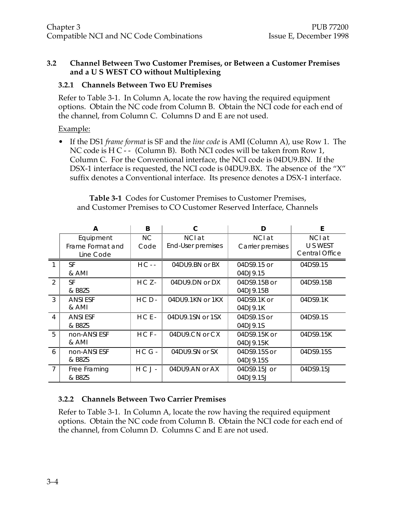#### **3.2 Channel Between Two Customer Premises, or Between a Customer Premises and a U S WEST CO without Multiplexing**

#### **3.2.1 Channels Between Two EU Premises**

Refer to Table 3-1. In Column A, locate the row having the required equipment options. Obtain the NC code from Column B. Obtain the NCI code for each end of the channel, from Column C. Columns D and E are not used.

#### Example:

• If the DS1 *frame format* is SF and the *line code* is AMI (Column A), use Row 1. The NC code is H C - - (Column B). Both NCI codes will be taken from Row 1, Column C. For the Conventional interface, the NCI code is 04DU9.BN. If the DSX-1 interface is requested, the NCI code is 04DU9.BX. The absence of the "X" suffix denotes a Conventional interface. Its presence denotes a DSX-1 interface.

| <b>Table 3-1</b> Codes for Customer Premises to Customer Premises, |  |
|--------------------------------------------------------------------|--|
| and Customer Premises to CO Customer Reserved Interface, Channels  |  |

|                | A                                          | B           | C                           | D                          | E                                           |
|----------------|--------------------------------------------|-------------|-----------------------------|----------------------------|---------------------------------------------|
|                | Equipment<br>Frame Format and<br>Line Code | NC.<br>Code | NCI at<br>End-User premises | NCI at<br>Carrier premises | NCI at<br>U S WEST<br><b>Central Office</b> |
|                | <b>SF</b><br>& AMI                         | $HC - -$    | 04DU9.BN or BX              | 04DS9.15 or<br>04DJ9.15    | 04DS9.15                                    |
| $\mathfrak{D}$ | SF<br>& B8ZS                               | $HCZ -$     | 04DU9.DN or DX              | 04DS9.15B or<br>04DJ9.15B  | 04DS9.15B                                   |
| 3              | <b>ANSI ESF</b><br>& AMI                   | $HCD -$     | 04DU9.1KN or 1KX            | 04DS9.1K or<br>04DJ9.1K    | 04DS9.1K                                    |
| 4              | <b>ANSIESF</b><br>& B8ZS                   | $HCE-$      | 04DU9.1SN or 1SX            | 04DS9.1S or<br>04DJ9.1S    | 04DS9.1S                                    |
| 5              | non-ANSI ESF<br>& AMI                      | $HCF-$      | 04DU9.CN or CX              | 04DS9.15K or<br>04DJ9.15K  | 04DS9.15K                                   |
| 6              | non-ANSI ESF<br>& B8ZS                     | $HCG -$     | 04DU9.SN or SX              | 04DS9.15S or<br>04DJ9.15S  | 04DS9.15S                                   |
| $\overline{7}$ | Free Framing<br>& B8ZS                     | HCJ-        | 04DU9.AN or AX              | 04DS9.15J or<br>04DJ9.15J  | 04DS9.15J                                   |

#### **3.2.2 Channels Between Two Carrier Premises**

Refer to Table 3-1. In Column A, locate the row having the required equipment options. Obtain the NC code from Column B. Obtain the NCI code for each end of the channel, from Column D. Columns C and E are not used.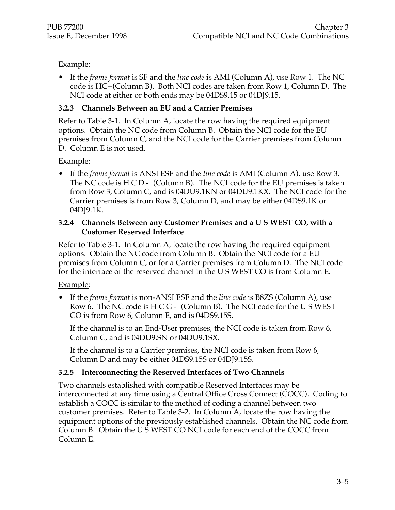#### Example:

• If the *frame format* is SF and the *line code* is AMI (Column A), use Row 1. The NC code is HC--(Column B). Both NCI codes are taken from Row 1, Column D. The NCI code at either or both ends may be 04DS9.15 or 04DJ9.15.

#### **3.2.3 Channels Between an EU and a Carrier Premises**

Refer to Table 3-1. In Column A, locate the row having the required equipment options. Obtain the NC code from Column B. Obtain the NCI code for the EU premises from Column C, and the NCI code for the Carrier premises from Column D. Column E is not used.

#### Example:

• If the *frame format* is ANSI ESF and the *line code* is AMI (Column A), use Row 3. The NC code is H C D - (Column B). The NCI code for the EU premises is taken from Row 3, Column C, and is 04DU9.1KN or 04DU9.1KX. The NCI code for the Carrier premises is from Row 3, Column D, and may be either 04DS9.1K or 04DJ9.1K.

#### **3.2.4 Channels Between any Customer Premises and a U S WEST CO, with a Customer Reserved Interface**

Refer to Table 3-1. In Column A, locate the row having the required equipment options. Obtain the NC code from Column B. Obtain the NCI code for a EU premises from Column C, or for a Carrier premises from Column D. The NCI code for the interface of the reserved channel in the U S WEST CO is from Column E.

#### Example:

• If the *frame format* is non-ANSI ESF and the *line code* is B8ZS (Column A), use Row 6. The NC code is H C G - (Column B). The NCI code for the U S WEST CO is from Row 6, Column E, and is 04DS9.15S.

If the channel is to an End-User premises, the NCI code is taken from Row 6, Column C, and is 04DU9.SN or 04DU9.1SX.

If the channel is to a Carrier premises, the NCI code is taken from Row 6, Column D and may be either 04DS9.15S or 04DJ9.15S.

#### **3.2.5 Interconnecting the Reserved Interfaces of Two Channels**

Two channels established with compatible Reserved Interfaces may be interconnected at any time using a Central Office Cross Connect (COCC). Coding to establish a COCC is similar to the method of coding a channel between two customer premises. Refer to Table 3-2. In Column A, locate the row having the equipment options of the previously established channels. Obtain the NC code from Column B. Obtain the U S WEST CO NCI code for each end of the COCC from Column E.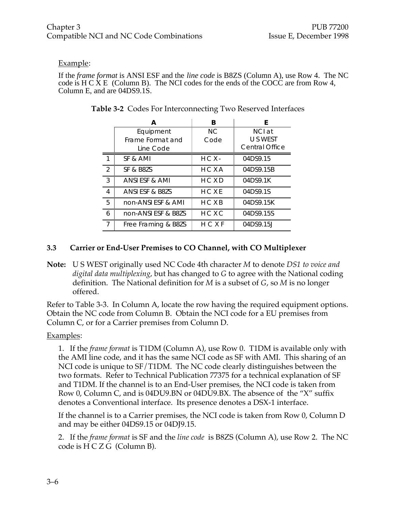#### Example:

If the *frame format* is ANSI ESF and the *line code* is B8ZS (Column A), use Row 4. The NC code is  $H \subset X E$  (Column B). The NCI codes for the ends of the COCC are from Row 4, Column E, and are 04DS9.1S.

|   | А                                          | B           | F                                           |
|---|--------------------------------------------|-------------|---------------------------------------------|
|   | Equipment<br>Frame Format and<br>Line Code | NC.<br>Code | NCI at<br>U S WEST<br><b>Central Office</b> |
|   | SF & AMI                                   | $H C X -$   | 04DS9.15                                    |
| 2 | SF & B8ZS                                  | HCXA        | 04DS9.15B                                   |
| 3 | ANSI ESF & AMI                             | HCXD        | 04DS9.1K                                    |
| 4 | ANSI ESF & B8ZS                            | HCXE        | 04DS9.1S                                    |
| 5 | non-ANSI ESF & AMI                         | H C X B     | 04DS9.15K                                   |
| 6 | non-ANSI ESF & B8ZS                        | HCXC        | 04DS9.15S                                   |
| 7 | Free Framing & B8ZS                        | HCXF        | 04DS9.15J                                   |

| Table 3-2 Codes For Interconnecting Two Reserved Interfaces |
|-------------------------------------------------------------|
|-------------------------------------------------------------|

#### **3.3 Carrier or End-User Premises to CO Channel, with CO Multiplexer**

**Note:** U S WEST originally used NC Code 4th character *M* to denote *DS1 to voice and digital data multiplexing*, but has changed to *G* to agree with the National coding definition. The National definition for *M* is a subset of *G*, so *M* is no longer offered.

Refer to Table 3-3. In Column A, locate the row having the required equipment options. Obtain the NC code from Column B. Obtain the NCI code for a EU premises from Column C, or for a Carrier premises from Column D.

#### Examples:

1. If the *frame format* is T1DM (Column A), use Row 0. T1DM is available only with the AMI line code, and it has the same NCI code as SF with AMI. This sharing of an NCI code is unique to SF/T1DM. The NC code clearly distinguishes between the two formats. Refer to Technical Publication 77375 for a technical explanation of SF and T1DM. If the channel is to an End-User premises, the NCI code is taken from Row 0, Column C, and is 04DU9.BN or 04DU9.BX. The absence of the "X" suffix denotes a Conventional interface. Its presence denotes a DSX-1 interface.

If the channel is to a Carrier premises, the NCI code is taken from Row 0, Column D and may be either 04DS9.15 or 04DJ9.15.

2. If the *frame format* is SF and the *line code* is B8ZS (Column A), use Row 2. The NC code is H C Z G (Column B).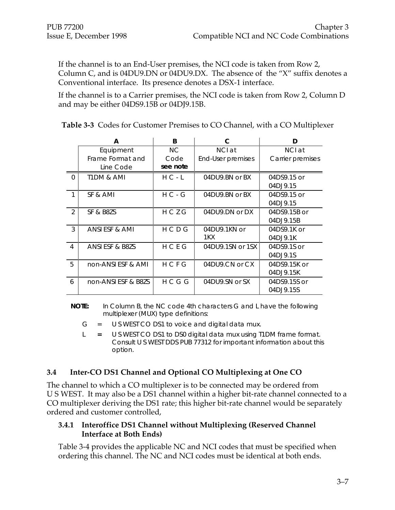If the channel is to an End-User premises, the NCI code is taken from Row 2, Column C, and is 04DU9.DN or 04DU9.DX. The absence of the "X" suffix denotes a Conventional interface. Its presence denotes a DSX-1 interface.

If the channel is to a Carrier premises, the NCI code is taken from Row 2, Column D and may be either 04DS9.15B or 04DJ9.15B.

|                 | А                   | B           | C                 | D                |
|-----------------|---------------------|-------------|-------------------|------------------|
|                 | Equipment           | NC.         | NCI at            | NCI at           |
|                 | Frame Format and    | Code        | End-User premises | Carrier premises |
|                 | Line Code           | see note    |                   |                  |
| $\Omega$        | T1DM & AMI          | $H C - L$   | 04DU9.BN or BX    | 04DS9.15 or      |
|                 |                     |             |                   | 04DJ9.15         |
|                 | SF & AMI            | $H C - G$   | 04DU9.BN or BX    | 04DS9.15 or      |
|                 |                     |             |                   | 04DJ9.15         |
| 2               | SF & B8ZS           | HCZG        | 04DU9.DN or DX    | 04DS9.15B or     |
|                 |                     |             |                   | 04DJ9.15B        |
| 3               | ANSI ESF & AMI      | HCDG        | 04DU9.1KN or      | 04DS9.1K or      |
|                 |                     |             | 1KX               | 04DJ9.1K         |
| 4               | ANSI ESF & B8ZS     | HCEG        | 04DU9.1SN or 1SX  | 04DS9.1S or      |
|                 |                     |             |                   | 04DJ9.1S         |
| $5\overline{5}$ | non-ANSI ESF & AMI  | <b>HCFG</b> | 04DU9.CN or CX    | 04DS9.15K or     |
|                 |                     |             |                   | 04DJ9.15K        |
| 6               | non-ANSI ESF & B8ZS | H C G G     | 04DU9.SN or SX    | 04DS9.15S or     |
|                 |                     |             |                   | 04DJ9.15S        |

**Table 3-3** Codes for Customer Premises to CO Channel, with a CO Multiplexer

**NOTE:** In Column B, the NC code 4th characters G and L have the following multiplexer (MUX) type definitions:

- $G = U S WEST CO DS1 to voice and digital data mux.$
- L **=** U S WEST CO DS1 to DS0 digital data mux using T1DM frame format. Consult U S WEST DDS PUB 77312 for important information about this option.

#### **3.4 Inter-CO DS1 Channel and Optional CO Multiplexing at One CO**

The channel to which a CO multiplexer is to be connected may be ordered from U S WEST. It may also be a DS1 channel within a higher bit-rate channel connected to a CO multiplexer deriving the DS1 rate; this higher bit-rate channel would be separately ordered and customer controlled,

#### **3.4.1 Interoffice DS1 Channel without Multiplexing (Reserved Channel Interface at Both Ends)**

Table 3-4 provides the applicable NC and NCI codes that must be specified when ordering this channel. The NC and NCI codes must be identical at both ends.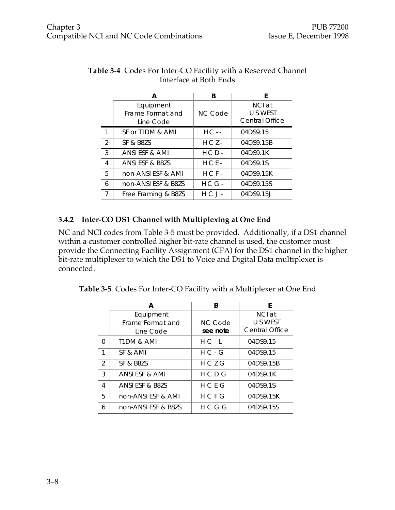|                                            | A                   | B              | F                                           |
|--------------------------------------------|---------------------|----------------|---------------------------------------------|
| Equipment<br>Frame Format and<br>Line Code |                     | <b>NC Code</b> | NCI at<br>U S WEST<br><b>Central Office</b> |
| 1                                          | SF or T1DM & AMI    | $HC - -$       | 04DS9.15                                    |
| $\mathcal{P}$                              | SF & B8ZS           | $HCZ -$        | 04DS9.15B                                   |
| 3                                          | ANSI ESF & AMI      | $HCD -$        | 04DS9.1K                                    |
| $\overline{4}$                             | ANSI ESF & B8ZS     | $HCE-$         | 04DS9.1S                                    |
| 5                                          | non-ANSI ESF & AMI  | $HCF-$         | 04DS9.15K                                   |
| 6                                          | non-ANSI ESF & B8ZS | $H C G -$      | 04DS9.15S                                   |
| $\overline{7}$                             | Free Framing & B8ZS | $H C J -$      | 04DS9.15J                                   |

#### **Table 3-4** Codes For Inter-CO Facility with a Reserved Channel Interface at Both Ends

#### **3.4.2 Inter-CO DS1 Channel with Multiplexing at One End**

NC and NCI codes from Table 3-5 must be provided. Additionally, if a DS1 channel within a customer controlled higher bit-rate channel is used, the customer must provide the Connecting Facility Assignment (CFA) for the DS1 channel in the higher bit-rate multiplexer to which the DS1 to Voice and Digital Data multiplexer is connected.

**Table 3-5** Codes For Inter-CO Facility with a Multiplexer at One End

|   | А                                          | R                          | F                                    |
|---|--------------------------------------------|----------------------------|--------------------------------------|
|   | Equipment<br>Frame Format and<br>Line Code | <b>NC Code</b><br>see note | NCI at<br>U S WEST<br>Central Office |
| O | T1DM & AMI                                 | $H C - L$                  | 04DS9.15                             |
|   | SF & AMI                                   | $H C - G$                  | 04DS9.15                             |
| 2 | SF & B8ZS                                  | HCZG                       | 04DS9.15B                            |
| 3 | ANSI ESF & AMI                             | H C D G                    | 04DS9.1K                             |
| 4 | <b>ANSLESE &amp; B8ZS</b>                  | H C F G                    | 04DS9.1S                             |
| 5 | non-ANSI ESF & AMI                         | HCFG                       | 04DS9.15K                            |
| 6 | non-ANSI ESF & B8ZS                        | HCGG                       | 04DS9.15S                            |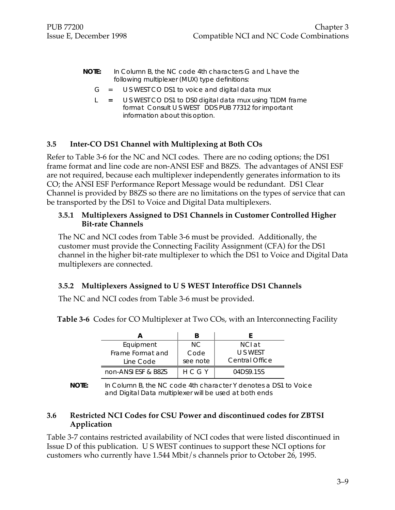- **NOTE:** In Column B, the NC code 4th characters G and L have the following multiplexer (MUX) type definitions:
	- $G = U S WEST CO DS1 to voice and digital data mux$
	- L **=** U S WEST CO DS1 to DS0 digital data mux using T1DM frame format Consult U S WEST DDS PUB 77312 for important information about this option.

#### **3.5 Inter-CO DS1 Channel with Multiplexing at Both COs**

Refer to Table 3-6 for the NC and NCI codes. There are no coding options; the DS1 frame format and line code are non-ANSI ESF and B8ZS. The advantages of ANSI ESF are not required, because each multiplexer independently generates information to its CO; the ANSI ESF Performance Report Message would be redundant. DS1 Clear Channel is provided by B8ZS so there are no limitations on the types of service that can be transported by the DS1 to Voice and Digital Data multiplexers.

#### **3.5.1 Multiplexers Assigned to DS1 Channels in Customer Controlled Higher Bit-rate Channels**

The NC and NCI codes from Table 3-6 must be provided. Additionally, the customer must provide the Connecting Facility Assignment (CFA) for the DS1 channel in the higher bit-rate multiplexer to which the DS1 to Voice and Digital Data multiplexers are connected.

#### **3.5.2 Multiplexers Assigned to U S WEST Interoffice DS1 Channels**

The NC and NCI codes from Table 3-6 must be provided.

**Table 3-6** Codes for CO Multiplexer at Two COs, with an Interconnecting Facility

| Equipment           | NC.      | NCL at                |
|---------------------|----------|-----------------------|
| Frame Format and    | Code     | U S WEST              |
| Line Code           | see note | <b>Central Office</b> |
| non-ANSI ESF & B8ZS | H C G Y  | 04DS9.15S             |

**NOTE:** In Column B, the NC code 4th character Y denotes a DS1 to Voice and Digital Data multiplexer will be used at both ends

#### **3.6 Restricted NCI Codes for CSU Power and discontinued codes for ZBTSI Application**

Table 3-7 contains restricted availability of NCI codes that were listed discontinued in Issue D of this publication. U S WEST continues to support these NCI options for customers who currently have 1.544 Mbit/s channels prior to October 26, 1995.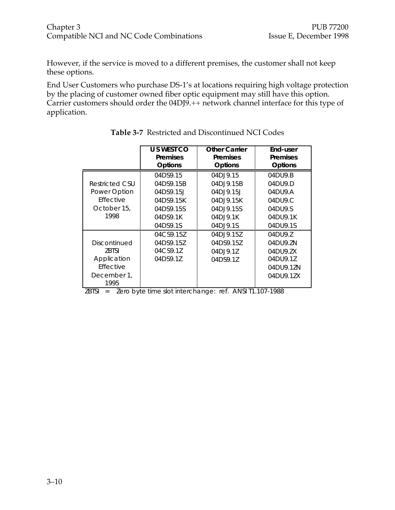However, if the service is moved to a different premises, the customer shall not keep these options.

End User Customers who purchase DS-1's at locations requiring high voltage protection by the placing of customer owned fiber optic equipment may still have this option. Carrier customers should order the 04DJ9.++ network channel interface for this type of application.

|                  | U S WEST CO    | <b>Other Carrier</b> | End-user        |
|------------------|----------------|----------------------|-----------------|
|                  | Premises       | Premises             | <b>Premises</b> |
|                  | <b>Options</b> | Options              | Options         |
|                  | 04DS9.15       | 04DJ9.15             | 04DU9.B         |
| Restricted CSU   | 04DS9.15B      | 04DJ9.15B            | 04DU9.D         |
| Power Option     | 04DS9.15J      | 04D.19.15            | 04DU9.A         |
| <b>Fffective</b> | 04DS9.15K      | 04DJ9.15K            | 04DU9.C         |
| October 15,      | 04DS9.15S      | 04DJ9.15S            | 04DU9.S         |
| 1998             | 04DS9.1K       | 04D.J9.1K            | 04DU9.1K        |
|                  | 04DS9.1S       | 04DJ9.1S             | 04DU9.1S        |
|                  | 04CS9.15Z      | 04DJ9.15Z            | 04DU9.Z         |
| Discontinued     | 04DS9.15Z      | 04DS9.157            | 04DU9.ZN        |
| 7BTSI            | 04CS9.1Z       | 04DJ9.1Z             | 04DU9.ZX        |
| Application      | 04DS9.1Z       | 04DS9.1Z             | 04DU9.1Z        |
| Effective        |                |                      | 04DU9.1ZN       |
| December 1,      |                |                      | 04DU9.1ZX       |
| 1995             |                |                      |                 |

**Table 3-7** Restricted and Discontinued NCI Codes

| $ZBTSI =$<br>Zero byte time slot interchange: ref. ANSI T1.107-1988 |  |
|---------------------------------------------------------------------|--|
|---------------------------------------------------------------------|--|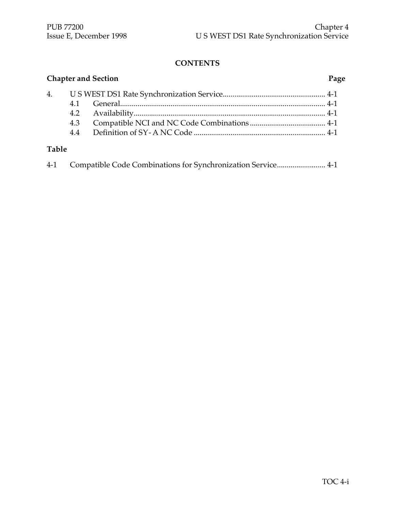### **CONTENTS**

|              |     | <b>Chapter and Section</b> | Page |
|--------------|-----|----------------------------|------|
|              |     |                            |      |
|              |     |                            |      |
|              |     |                            |      |
|              | 4.3 |                            |      |
|              |     |                            |      |
| <b>Table</b> |     |                            |      |

| $4-1$ |  |  |  |  |
|-------|--|--|--|--|
|-------|--|--|--|--|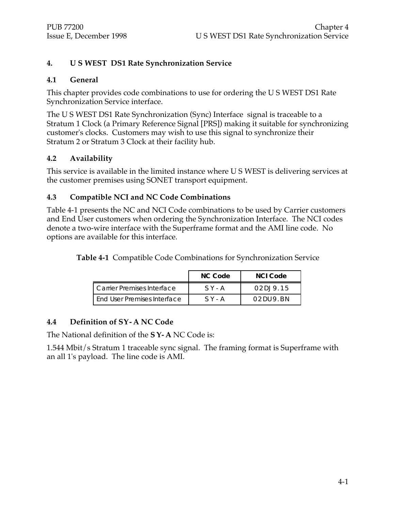#### **4. U S WEST DS1 Rate Synchronization Service**

#### **4.1 General**

This chapter provides code combinations to use for ordering the U S WEST DS1 Rate Synchronization Service interface.

The U S WEST DS1 Rate Synchronization (Sync) Interface signal is traceable to a Stratum 1 Clock (a Primary Reference Signal [PRS]) making it suitable for synchronizing customer's clocks. Customers may wish to use this signal to synchronize their Stratum 2 or Stratum 3 Clock at their facility hub.

#### **4.2 Availability**

This service is available in the limited instance where U S WEST is delivering services at the customer premises using SONET transport equipment.

#### **4.3 Compatible NCI and NC Code Combinations**

Table 4-1 presents the NC and NCI Code combinations to be used by Carrier customers and End User customers when ordering the Synchronization Interface. The NCI codes denote a two-wire interface with the Superframe format and the AMI line code. No options are available for this interface.

**Table 4-1** Compatible Code Combinations for Synchronization Service

|                               | NC Code   | NCLCode      |
|-------------------------------|-----------|--------------|
| L Carrier Premises Interface  | $S$ Y - A | 02D19.15     |
| l End User Premises Interface | $S$ Y - A | 02 DU 9. B N |

#### **4.4 Definition of S Y - ANC Code**

The National definition of the **S Y - A** NC Code is:

1.544 Mbit/s Stratum 1 traceable sync signal. The framing format is Superframe with an all 1's payload. The line code is AMI.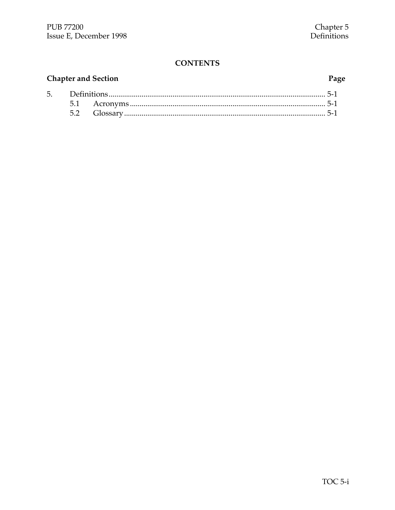#### **CONTENTS**

#### **Chapter and Section**  $D_0$ fi 5.

# Page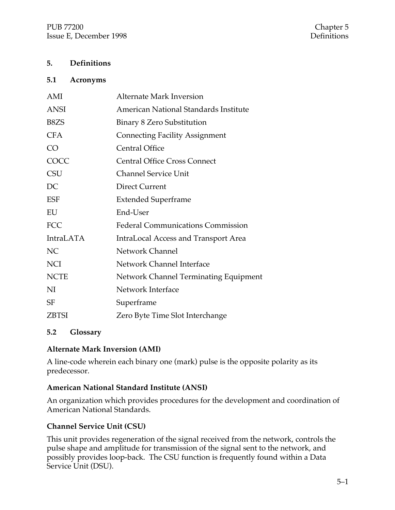#### **5. Definitions**

#### **5.1 Acronyms**

| AMI               | <b>Alternate Mark Inversion</b>              |
|-------------------|----------------------------------------------|
| <b>ANSI</b>       | American National Standards Institute        |
| B <sub>8</sub> ZS | Binary 8 Zero Substitution                   |
| <b>CFA</b>        | <b>Connecting Facility Assignment</b>        |
| CO                | <b>Central Office</b>                        |
| COCC              | <b>Central Office Cross Connect</b>          |
| <b>CSU</b>        | <b>Channel Service Unit</b>                  |
| DC                | <b>Direct Current</b>                        |
| <b>ESF</b>        | <b>Extended Superframe</b>                   |
| EU                | End-User                                     |
| <b>FCC</b>        | <b>Federal Communications Commission</b>     |
| <b>IntraLATA</b>  | <b>IntraLocal Access and Transport Area</b>  |
| <b>NC</b>         | Network Channel                              |
| <b>NCI</b>        | Network Channel Interface                    |
| <b>NCTE</b>       | <b>Network Channel Terminating Equipment</b> |
| NI                | Network Interface                            |
| <b>SF</b>         | Superframe                                   |
| <b>ZBTSI</b>      | Zero Byte Time Slot Interchange              |

#### **5.2 Glossary**

#### **Alternate Mark Inversion (AMI)**

A line-code wherein each binary one (mark) pulse is the opposite polarity as its predecessor.

#### **American National Standard Institute (ANSI)**

An organization which provides procedures for the development and coordination of American National Standards.

#### **Channel Service Unit (CSU)**

This unit provides regeneration of the signal received from the network, controls the pulse shape and amplitude for transmission of the signal sent to the network, and possibly provides loop-back. The CSU function is frequently found within a Data Service Unit (DSU).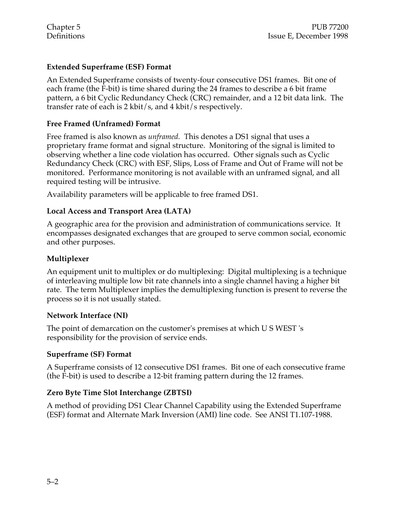#### **Extended Superframe (ESF) Format**

An Extended Superframe consists of twenty-four consecutive DS1 frames. Bit one of each frame (the F-bit) is time shared during the 24 frames to describe a 6 bit frame pattern, a 6 bit Cyclic Redundancy Check (CRC) remainder, and a 12 bit data link. The transfer rate of each is 2 kbit/s, and 4 kbit/s respectively.

#### **Free Framed (Unframed) Format**

Free framed is also known as *unframed.* This denotes a DS1 signal that uses a proprietary frame format and signal structure. Monitoring of the signal is limited to observing whether a line code violation has occurred. Other signals such as Cyclic Redundancy Check (CRC) with ESF, Slips, Loss of Frame and Out of Frame will not be monitored. Performance monitoring is not available with an unframed signal, and all required testing will be intrusive.

Availability parameters will be applicable to free framed DS1.

#### **Local Access and Transport Area (LATA)**

A geographic area for the provision and administration of communications service. It encompasses designated exchanges that are grouped to serve common social, economic and other purposes.

#### **Multiplexer**

An equipment unit to multiplex or do multiplexing: Digital multiplexing is a technique of interleaving multiple low bit rate channels into a single channel having a higher bit rate. The term Multiplexer implies the demultiplexing function is present to reverse the process so it is not usually stated.

#### **Network Interface (NI)**

The point of demarcation on the customer's premises at which U S WEST 's responsibility for the provision of service ends.

#### **Superframe (SF) Format**

A Superframe consists of 12 consecutive DS1 frames. Bit one of each consecutive frame (the F-bit) is used to describe a 12-bit framing pattern during the 12 frames.

#### **Zero Byte Time Slot Interchange (ZBTSI)**

A method of providing DS1 Clear Channel Capability using the Extended Superframe (ESF) format and Alternate Mark Inversion (AMI) line code. See ANSI T1.107-1988.